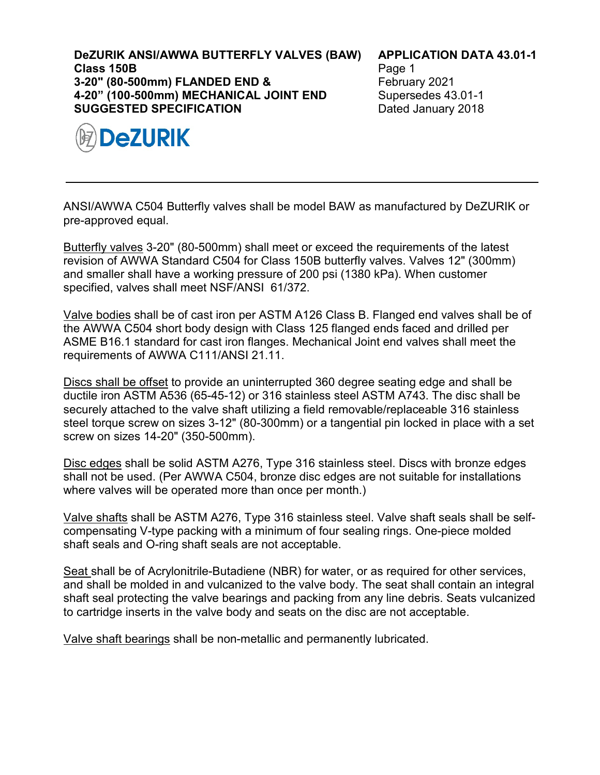**DeZURIK ANSI/AWWA BUTTERFLY VALVES (BAW) Class 150B 3-20" (80-500mm) FLANDED END & 4-20" (100-500mm) MECHANICAL JOINT END SUGGESTED SPECIFICATION**



## **APPLICATION DATA 43.01-1**

Page 1 February 2021 Supersedes 43.01-1 Dated January 2018

ANSI/AWWA C504 Butterfly valves shall be model BAW as manufactured by DeZURIK or pre-approved equal.

Butterfly valves 3-20" (80-500mm) shall meet or exceed the requirements of the latest revision of AWWA Standard C504 for Class 150B butterfly valves. Valves 12" (300mm) and smaller shall have a working pressure of 200 psi (1380 kPa). When customer specified, valves shall meet NSF/ANSI 61/372.

Valve bodies shall be of cast iron per ASTM A126 Class B. Flanged end valves shall be of the AWWA C504 short body design with Class 125 flanged ends faced and drilled per ASME B16.1 standard for cast iron flanges. Mechanical Joint end valves shall meet the requirements of AWWA C111/ANSI 21.11.

Discs shall be offset to provide an uninterrupted 360 degree seating edge and shall be ductile iron ASTM A536 (65-45-12) or 316 stainless steel ASTM A743. The disc shall be securely attached to the valve shaft utilizing a field removable/replaceable 316 stainless steel torque screw on sizes 3-12" (80-300mm) or a tangential pin locked in place with a set screw on sizes 14-20" (350-500mm).

Disc edges shall be solid ASTM A276, Type 316 stainless steel. Discs with bronze edges shall not be used. (Per AWWA C504, bronze disc edges are not suitable for installations where valves will be operated more than once per month.)

Valve shafts shall be ASTM A276, Type 316 stainless steel. Valve shaft seals shall be selfcompensating V-type packing with a minimum of four sealing rings. One-piece molded shaft seals and O-ring shaft seals are not acceptable.

Seat shall be of Acrylonitrile-Butadiene (NBR) for water, or as required for other services, and shall be molded in and vulcanized to the valve body. The seat shall contain an integral shaft seal protecting the valve bearings and packing from any line debris. Seats vulcanized to cartridge inserts in the valve body and seats on the disc are not acceptable.

Valve shaft bearings shall be non-metallic and permanently lubricated.